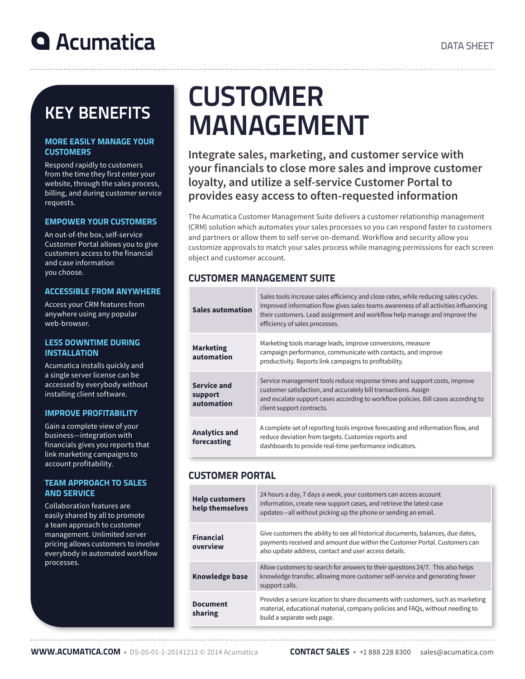# **Q** Acumatica

# KEY BENEFITS

#### MORE EASILY MANAGE YOUR **CUSTOMERS**

Respond rapidly to customers from the time they first enter your website, through the sales process, billing, and during customer service requests.

### EMPOWER YOUR CUSTOMERS

An out-of-the box, self-service Customer Portal allows you to give customers access to the financial and case information you choose.

### ACCESSIBLE FROM ANYWHERE

Access your CRM features from anywhere using any popular web-browser.

#### LESS DOWNTIME DURING INSTALLATION

Acumatica installs quickly and a single server license can be accessed by everybody without installing client software.

### IMPROVE PROFITABILITY

Gain a complete view of your business—integration with financials gives you reports that link marketing campaigns to account profitability.

### TEAM APPROACH TO SALES AND SERVICE

Collaboration features are easily shared by all to promote a team approach to customer management. Unlimited server pricing allows customers to involve everybody in automated workflow processes.

# **CUSTOMER** MANAGEMENT

**Integrate sales, marketing, and customer service with your financials to close more sales and improve customer loyalty, and utilize a self-service Customer Portal to provides easy access to often-requested information**

The Acumatica Customer Management Suite delivers a customer relationship management (CRM) solution which automates your sales processes so you can respond faster to customers and partners or allow them to self-serve on-demand. Workflow and security allow you customize approvals to match your sales process while managing permissions for each screen object and customer account.

# CUSTOMER MANAGEMENT SUITE

| <b>Sales automation</b>              | Sales tools increase sales efficiency and close rates, while reducing sales cycles.<br>Improved information flow gives sales teams awareness of all activities influencing<br>their customers. Lead assignment and workflow help manage and improve the<br>efficiency of sales processes. |
|--------------------------------------|-------------------------------------------------------------------------------------------------------------------------------------------------------------------------------------------------------------------------------------------------------------------------------------------|
| <b>Marketing</b><br>automation       | Marketing tools manage leads, improve conversions, measure<br>campaign performance, communicate with contacts, and improve<br>productivity. Reports link campaigns to profitability.                                                                                                      |
| Service and<br>support<br>automation | Service management tools reduce response times and support costs, improve<br>customer satisfaction, and accurately bill transactions. Assign<br>and escalate support cases according to workflow policies. Bill cases according to<br>client support contracts.                           |
| <b>Analytics and</b><br>forecasting  | A complete set of reporting tools improve forecasting and information flow, and<br>reduce deviation from targets. Customize reports and<br>dashboards to provide real-time performance indicators.                                                                                        |

## CUSTOMER PORTAL

| <b>Help customers</b><br>help themselves | 24 hours a day, 7 days a week, your customers can access account<br>information, create new support cases, and retrieve the latest case<br>updates—all without picking up the phone or sending an email.                |
|------------------------------------------|-------------------------------------------------------------------------------------------------------------------------------------------------------------------------------------------------------------------------|
| <b>Financial</b><br>overview             | Give customers the ability to see all historical documents, balances, due dates,<br>payments received and amount due within the Customer Portal. Customers can<br>also update address, contact and user access details. |
| <b>Knowledge base</b>                    | Allow customers to search for answers to their questions 24/7. This also helps<br>knowledge transfer, allowing more customer self-service and generating fewer<br>support calls.                                        |
| <b>Document</b><br>sharing               | Provides a secure location to share documents with customers, such as marketing<br>material, educational material, company policies and FAOs, without needing to<br>build a separate web page.                          |